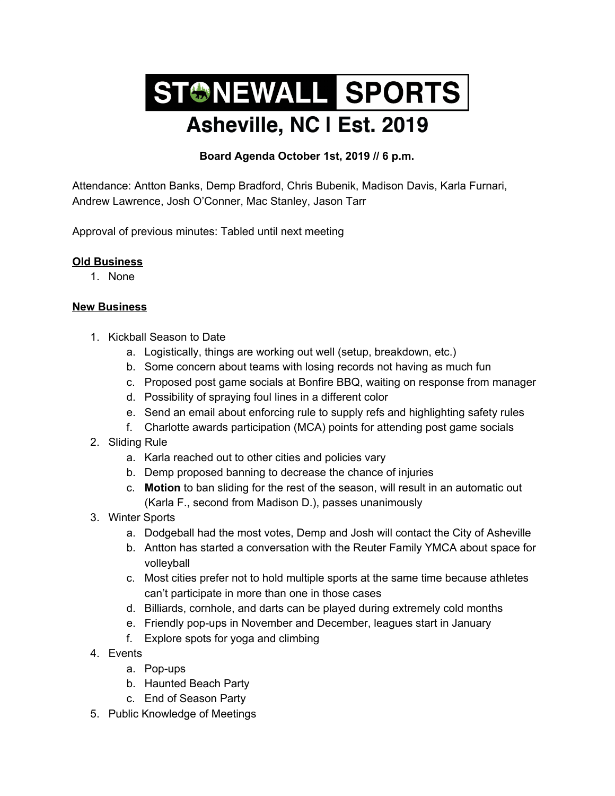## STONEWALL SPORTS Asheville, NC I Est. 2019

## **Board Agenda October 1st, 2019 // 6 p.m.**

Attendance: Antton Banks, Demp Bradford, Chris Bubenik, Madison Davis, Karla Furnari, Andrew Lawrence, Josh O'Conner, Mac Stanley, Jason Tarr

Approval of previous minutes: Tabled until next meeting

## **Old Business**

1. None

## **New Business**

- 1. Kickball Season to Date
	- a. Logistically, things are working out well (setup, breakdown, etc.)
	- b. Some concern about teams with losing records not having as much fun
	- c. Proposed post game socials at Bonfire BBQ, waiting on response from manager
	- d. Possibility of spraying foul lines in a different color
	- e. Send an email about enforcing rule to supply refs and highlighting safety rules
	- f. Charlotte awards participation (MCA) points for attending post game socials
- 2. Sliding Rule
	- a. Karla reached out to other cities and policies vary
	- b. Demp proposed banning to decrease the chance of injuries
	- c. **Motion** to ban sliding for the rest of the season, will result in an automatic out (Karla F., second from Madison D.), passes unanimously
- 3. Winter Sports
	- a. Dodgeball had the most votes, Demp and Josh will contact the City of Asheville
	- b. Antton has started a conversation with the Reuter Family YMCA about space for volleyball
	- c. Most cities prefer not to hold multiple sports at the same time because athletes can't participate in more than one in those cases
	- d. Billiards, cornhole, and darts can be played during extremely cold months
	- e. Friendly pop-ups in November and December, leagues start in January
	- f. Explore spots for yoga and climbing
- 4. Events
	- a. Pop-ups
	- b. Haunted Beach Party
	- c. End of Season Party
- 5. Public Knowledge of Meetings